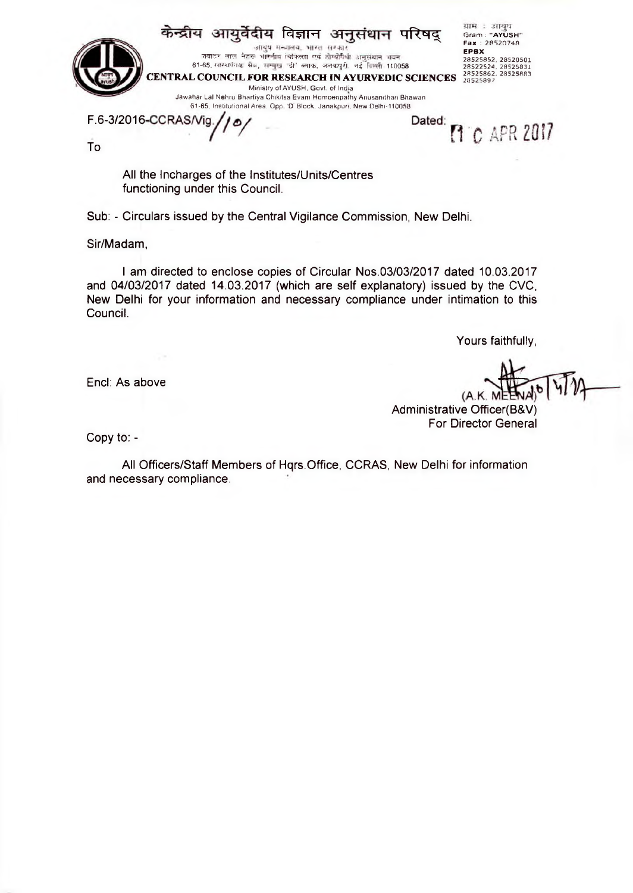केन्द्रीय आयुर्वेदीय विज्ञान अनुसंधान परिषद् ग्राम : आयुध<br>Gram : "AYUSH"<br>Fax : 28520748 **EPBX** 28525852. 28520501 28522524, 28525831 28525862, 28525883 28525897 जवाटर लाल नेटरू भारतीय विकित्सा एवं डोम्योपैश्री अनुसंधान भवन 61-65. सारवामचा अञ्चल, सम्मुख 'डा' क्याक, जनकपुरा, नई ।इल्ला 110058 **CENTRAL COUNCIL FOR RESEARCH IN AYURVEDIC SCIENCES** Ministry of AYUSH, Govt, of India Jawahar Lai Nehru Bhartiya Chikitsa Evam Homoeopathy Anusandhari Bhawan 61-65, Institutional Area. Opp. D' Block, Janakpuri. New Delhi-110058

F.6-3/2016-

Dated: **M**<sup>C</sup> APR 2017

To

All the Incharges of the Institutes/Units/Centres functioning under this Council.

€

Sub: - Circulars issued by the Central Vigilance Commission, New Delhi.

Sir/Madam,

I am directed to enclose copies of Circular Nos.03/03/2017 dated 10.03.2017 and 04/03/2017 dated 14.03.2017 (which are self explanatory) issued by the CVC, New Delhi for your information and necessary compliance under intimation to this Council.

Yours faithfully,

Encl: As above

Administrative Officer(B&V) For Director General

Copy to: -

All Officers/Staff Members of Hqrs.Office, CCRAS, New Delhi for information and necessary compliance.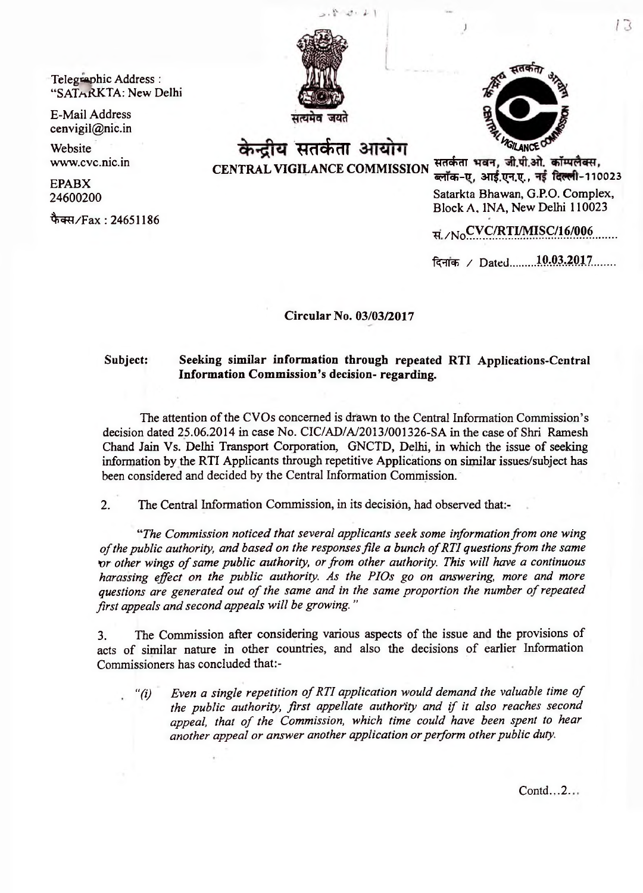$1 - 1$ 

Telegraphic Address: "SAThRKTA: New Delhi

E-Mail Address [cenvigil@nic.in](mailto:cenvigil@nic.in)

Website [www.cvc.nic.in](http://www.cvc.nic.in)

EPABX 24600200

फैक्स/Fax: 24651186



केन्द्रीय सतर्कता आयोग सतर्कता भवन, जी.पी.ओ. कॉम्पलैक्स,

**CENTRAL VIGILANCE COMMISSION \* d\* dl t «?ira>-Tr, STTf.T^T.T^., 1cfrrll-110023** Satarkta Bhawan, G.P.O. Complex, Block A, 1NA, New Delhi 110023

 $R / N_0$  CV C/R T IM IS C/16/006

दिनांक / Dated........10.03.2017........

**Circular No. 03/03/2017**

## **Subject: Seeking similar information through repeated RTI Applications-Central Information Commission's decision- regarding.**

The attention of the CVOs concerned is drawn to the Central Information Commission's decision dated 25.06.2014 in case No. CIC/AD/A/2013/001326-SA in the case of Shri Ramesh Chand Jain Vs. Delhi Transport Corporation, GNCTD, Delhi, in which the issue of seeking information by the RTI Applicants through repetitive Applications on similar issues/subject has been considered and decided by the Central Information Commission.

2. The Central Information Commission, in its decision, had observed that:-

*"The Commission noticed that several applicants seek some information from one wing* of the public authority, and based on the responses file a bunch of RTI questions from the same or other wings of same public authority, or from other authority. This will have a continuous *harassing effect on the public authority. As the PIOs go on answering, more and more* questions are generated out of the same and in the same proportion the number of repeated *first appeals and second appeals will be growing. "*

3. The Commission after considering various aspects of the issue and the provisions of acts of similar nature in other countries, and also the decisions of earlier Information Commissioners has concluded that:-

*"(i) Even a single repetition of RTI application would demand the valuable time of the public authority, first appellate authority and if it also reaches second* appeal, that of the Commission, which time could have been spent to hear *another appeal or answer another application or perform other public duty.*

Contd.,.2.